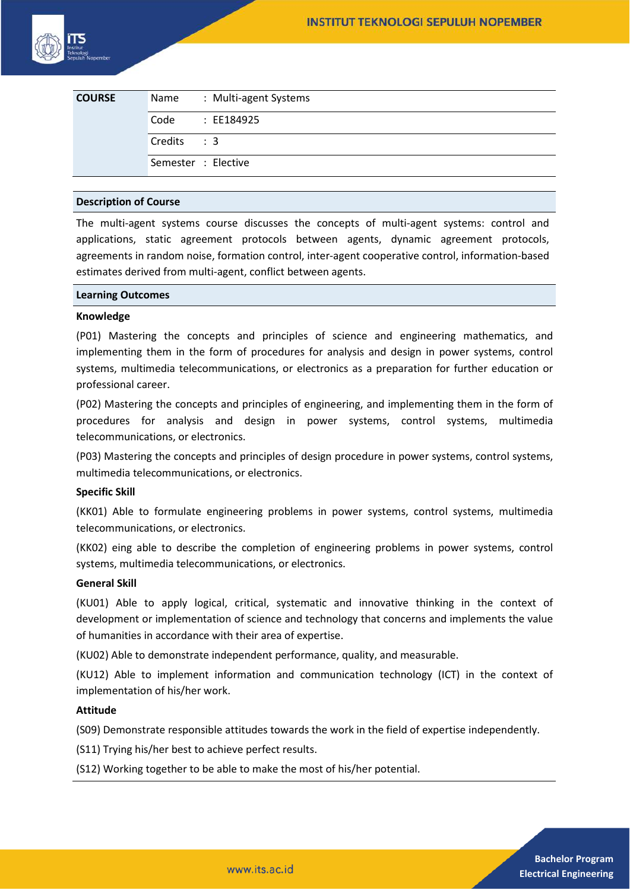

| <b>COURSE</b> | Name                | : Multi-agent Systems |
|---------------|---------------------|-----------------------|
|               | Code                | : EE184925            |
|               | Credits: 3          |                       |
|               | Semester : Elective |                       |

#### **Description of Course**

The multi-agent systems course discusses the concepts of multi-agent systems: control and applications, static agreement protocols between agents, dynamic agreement protocols, agreements in random noise, formation control, inter-agent cooperative control, information-based estimates derived from multi-agent, conflict between agents.

#### **Learning Outcomes**

#### **Knowledge**

(P01) Mastering the concepts and principles of science and engineering mathematics, and implementing them in the form of procedures for analysis and design in power systems, control systems, multimedia telecommunications, or electronics as a preparation for further education or professional career.

(P02) Mastering the concepts and principles of engineering, and implementing them in the form of procedures for analysis and design in power systems, control systems, multimedia telecommunications, or electronics.

(P03) Mastering the concepts and principles of design procedure in power systems, control systems, multimedia telecommunications, or electronics.

#### **Specific Skill**

(KK01) Able to formulate engineering problems in power systems, control systems, multimedia telecommunications, or electronics.

(KK02) eing able to describe the completion of engineering problems in power systems, control systems, multimedia telecommunications, or electronics.

#### **General Skill**

(KU01) Able to apply logical, critical, systematic and innovative thinking in the context of development or implementation of science and technology that concerns and implements the value of humanities in accordance with their area of expertise.

(KU02) Able to demonstrate independent performance, quality, and measurable.

(KU12) Able to implement information and communication technology (ICT) in the context of implementation of his/her work.

# **Attitude**

(S09) Demonstrate responsible attitudes towards the work in the field of expertise independently.

(S11) Trying his/her best to achieve perfect results.

(S12) Working together to be able to make the most of his/her potential.